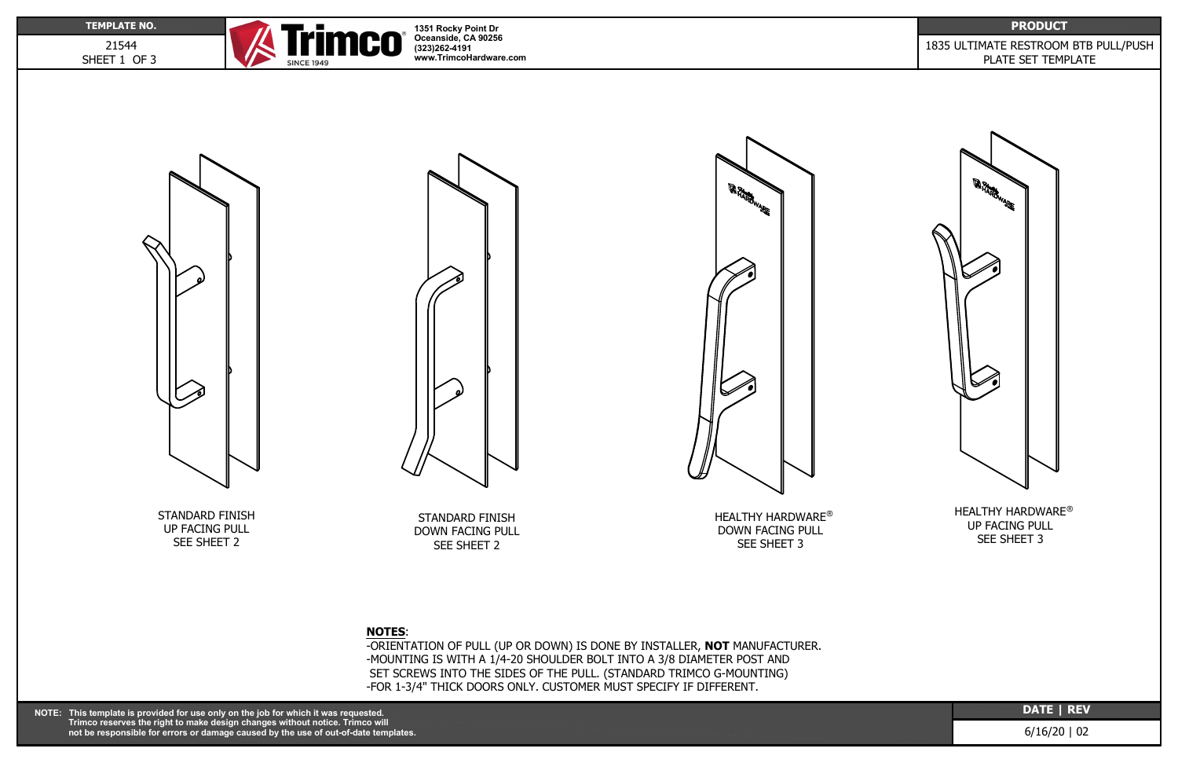21544 SHEET 1 OF 3



**DATE | REV**

## 1835 ULTIMATE RESTROOM BTB PULL/PUSH PLATE SET TEMPLATE



6/16/20 | 02

**1351 Rocky Point Dr Oceanside, CA 90256 (323)262-4191 www.TrimcoHardware.com**



HEALTHY HARDWARE $^\circledast$ DOWN FACING PULL SEE SHEET 3

## **NOTES**:

HEALTHY HARDWARE® UP FACING PULL SEE SHEET 3

-ORIENTATION OF PULL (UP OR DOWN) IS DONE BY INSTALLER, **NOT** MANUFACTURER. -MOUNTING IS WITH A 1/4-20 SHOULDER BOLT INTO A 3/8 DIAMETER POST AND SET SCREWS INTO THE SIDES OF THE PULL. (STANDARD TRIMCO G-MOUNTING) -FOR 1-3/4" THICK DOORS ONLY. CUSTOMER MUST SPECIFY IF DIFFERENT.

STANDARD FINISH DOWN FACING PULL SEE SHEET 2

STANDARD FINISH UP FACING PULL SEE SHEET 2



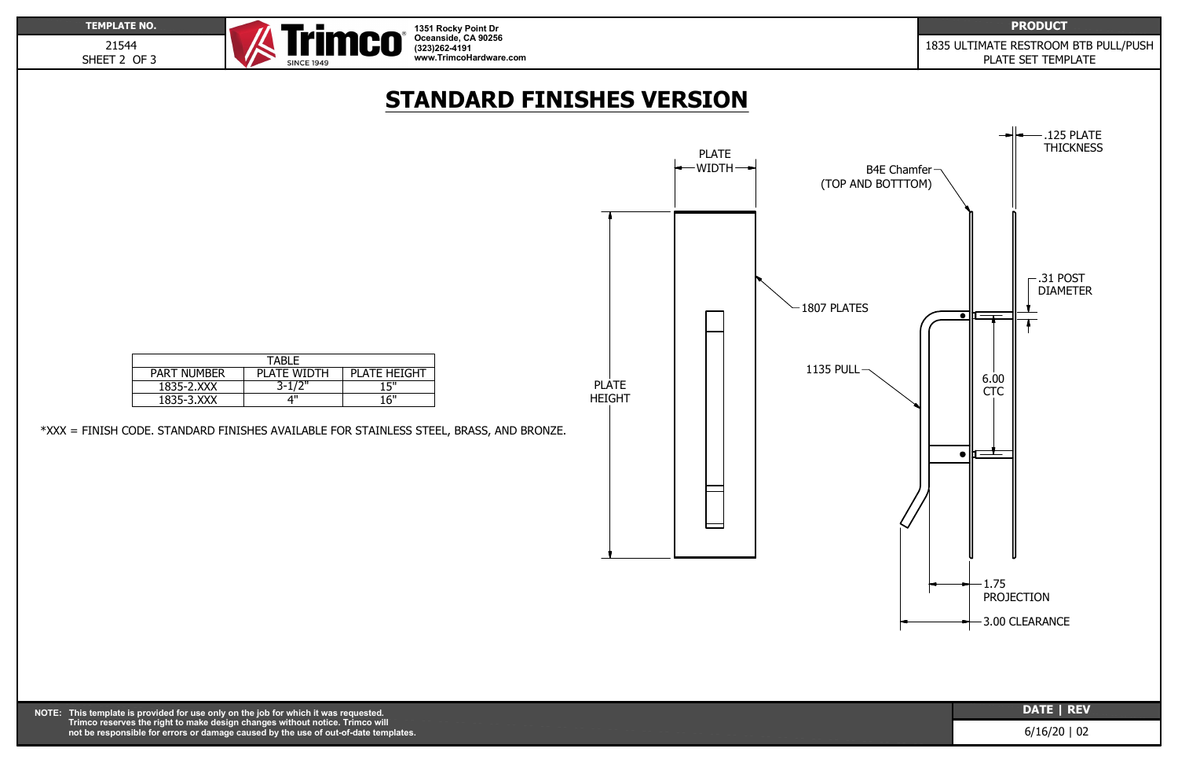**DATE | REV**

6/16/20 | 02